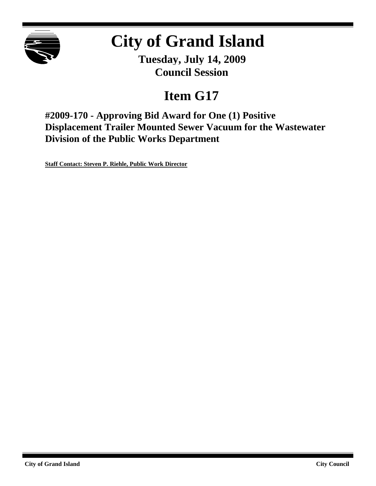

# **City of Grand Island**

**Tuesday, July 14, 2009 Council Session**

## **Item G17**

**#2009-170 - Approving Bid Award for One (1) Positive Displacement Trailer Mounted Sewer Vacuum for the Wastewater Division of the Public Works Department**

**Staff Contact: Steven P. Riehle, Public Work Director**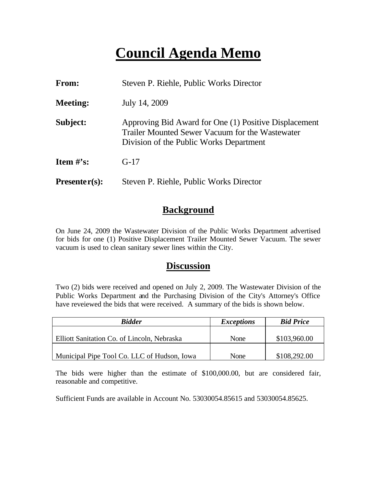## **Council Agenda Memo**

| From:           | Steven P. Riehle, Public Works Director                                                                                                             |  |
|-----------------|-----------------------------------------------------------------------------------------------------------------------------------------------------|--|
| <b>Meeting:</b> | July 14, 2009                                                                                                                                       |  |
| Subject:        | Approving Bid Award for One (1) Positive Displacement<br>Trailer Mounted Sewer Vacuum for the Wastewater<br>Division of the Public Works Department |  |
| Item $\#$ 's:   | $G-17$                                                                                                                                              |  |
| $Presenter(s):$ | Steven P. Riehle, Public Works Director                                                                                                             |  |

### **Background**

On June 24, 2009 the Wastewater Division of the Public Works Department advertised for bids for one (1) Positive Displacement Trailer Mounted Sewer Vacuum. The sewer vacuum is used to clean sanitary sewer lines within the City.

#### **Discussion**

Two (2) bids were received and opened on July 2, 2009. The Wastewater Division of the Public Works Department and the Purchasing Division of the City's Attorney's Office have reveiewed the bids that were received. A summary of the bids is shown below.

| <b>Bidder</b>                               | <i>Exceptions</i> | <b>Bid Price</b> |
|---------------------------------------------|-------------------|------------------|
|                                             |                   |                  |
| Elliott Sanitation Co. of Lincoln, Nebraska | None              | \$103,960.00     |
|                                             |                   |                  |
| Municipal Pipe Tool Co. LLC of Hudson, Iowa | None              | \$108,292.00     |

The bids were higher than the estimate of \$100,000.00, but are considered fair, reasonable and competitive.

Sufficient Funds are available in Account No. 53030054.85615 and 53030054.85625.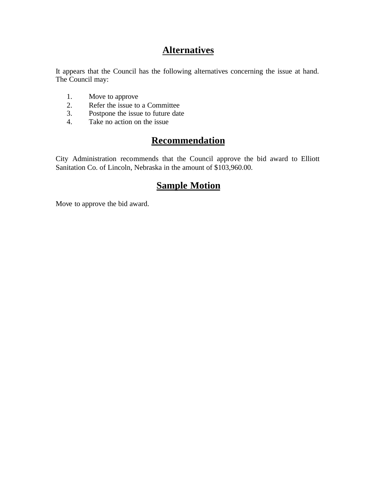## **Alternatives**

It appears that the Council has the following alternatives concerning the issue at hand. The Council may:

- 1. Move to approve
- 2. Refer the issue to a Committee<br>3. Postpone the issue to future date
- Postpone the issue to future date
- 4. Take no action on the issue

## **Recommendation**

City Administration recommends that the Council approve the bid award to Elliott Sanitation Co. of Lincoln, Nebraska in the amount of \$103,960.00.

### **Sample Motion**

Move to approve the bid award.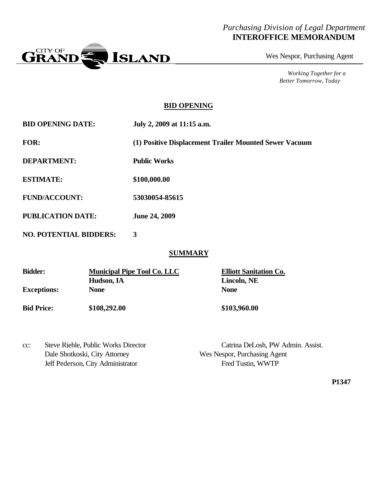#### *Purchasing Division of Legal Department* **INTEROFFICE MEMORANDUM**



Wes Nespor, Purchasing Agent

*Working Together for a Better Tomorrow, Today*

#### **BID OPENING**

**BID OPENING DATE: July 2, 2009 at 11:15 a.m.**

**FOR: (1) Positive Displacement Trailer Mounted Sewer Vacuum**

**DEPARTMENT: Public Works**

**ESTIMATE: \$100,000.00**

**FUND/ACCOUNT: 53030054-85615**

**PUBLICATION DATE: June 24, 2009**

**NO. POTENTIAL BIDDERS: 3**

#### **SUMMARY**

| <b>Bidder:</b>     | <b>Municipal Pipe Tool Co. LLC</b> | <b>Elliott Sanitation Co.</b> |
|--------------------|------------------------------------|-------------------------------|
|                    | Hudson, IA                         | Lincoln, NE                   |
| <b>Exceptions:</b> | <b>None</b>                        | <b>None</b>                   |
| <b>Bid Price:</b>  | \$108,292.00                       | \$103,960.00                  |

| $cc$ : | Steve Riehle, Public Works Director |  |
|--------|-------------------------------------|--|
|        | Dale Shotkoski, City Attorney       |  |
|        | Jeff Pederson, City Administrator   |  |

Catrina DeLosh, PW Admin. Assist. Wes Nespor, Purchasing Agent Fred Tustin, WWTP

**P1347**